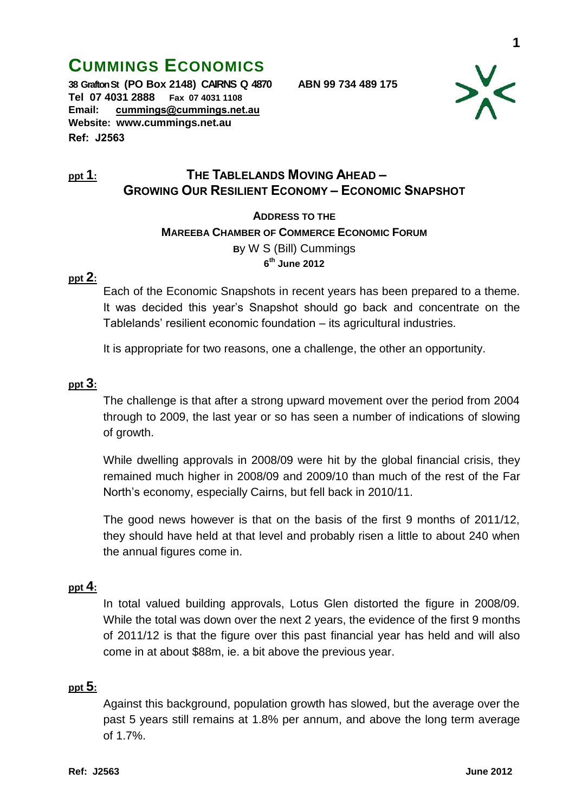# **CUMMINGS ECONOMICS**

**38 Grafton St (PO Box 2148) CAIRNS Q 4870 ABN 99 734 489 175 Tel 07 4031 2888 Fax 07 4031 1108 Email: [cummings@cummings.net.au](mailto:cummings@cummings.net.au) Website: www.cummings.net.au Ref: J2563**



# **ppt 1: THE TABLELANDS MOVING AHEAD – GROWING OUR RESILIENT ECONOMY – ECONOMIC SNAPSHOT**

**ADDRESS TO THE** 

**MAREEBA CHAMBER OF COMMERCE ECONOMIC FORUM**

**B**y W S (Bill) Cummings **6 th June 2012**

#### **ppt 2:**

Each of the Economic Snapshots in recent years has been prepared to a theme. It was decided this year's Snapshot should go back and concentrate on the Tablelands' resilient economic foundation – its agricultural industries.

It is appropriate for two reasons, one a challenge, the other an opportunity.

#### **ppt 3:**

The challenge is that after a strong upward movement over the period from 2004 through to 2009, the last year or so has seen a number of indications of slowing of growth.

While dwelling approvals in 2008/09 were hit by the global financial crisis, they remained much higher in 2008/09 and 2009/10 than much of the rest of the Far North's economy, especially Cairns, but fell back in 2010/11.

The good news however is that on the basis of the first 9 months of 2011/12, they should have held at that level and probably risen a little to about 240 when the annual figures come in.

# **ppt 4:**

In total valued building approvals, Lotus Glen distorted the figure in 2008/09. While the total was down over the next 2 years, the evidence of the first 9 months of 2011/12 is that the figure over this past financial year has held and will also come in at about \$88m, ie. a bit above the previous year.

#### **ppt 5:**

Against this background, population growth has slowed, but the average over the past 5 years still remains at 1.8% per annum, and above the long term average of 1.7%.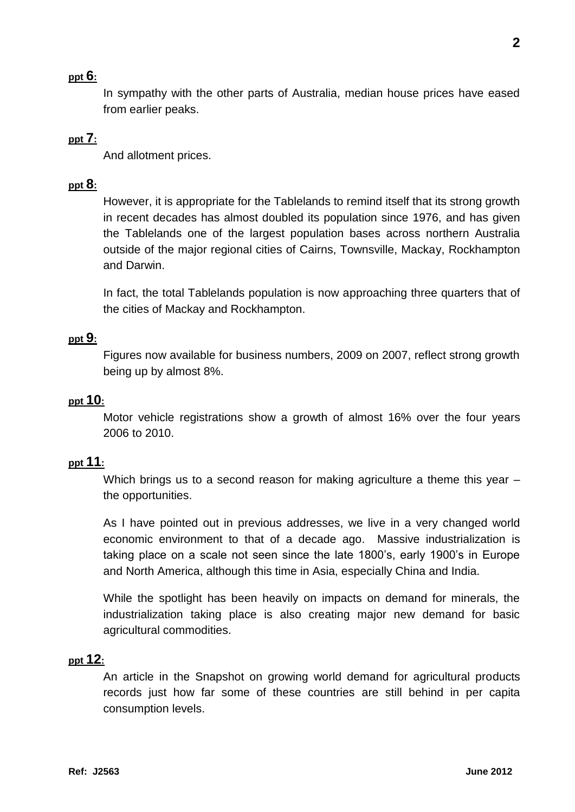# **ppt 6:**

In sympathy with the other parts of Australia, median house prices have eased from earlier peaks.

# **ppt 7:**

And allotment prices.

## **ppt 8:**

However, it is appropriate for the Tablelands to remind itself that its strong growth in recent decades has almost doubled its population since 1976, and has given the Tablelands one of the largest population bases across northern Australia outside of the major regional cities of Cairns, Townsville, Mackay, Rockhampton and Darwin.

In fact, the total Tablelands population is now approaching three quarters that of the cities of Mackay and Rockhampton.

#### **ppt 9:**

Figures now available for business numbers, 2009 on 2007, reflect strong growth being up by almost 8%.

# **ppt 10:**

Motor vehicle registrations show a growth of almost 16% over the four years 2006 to 2010.

## **ppt 11:**

Which brings us to a second reason for making agriculture a theme this year – the opportunities.

As I have pointed out in previous addresses, we live in a very changed world economic environment to that of a decade ago. Massive industrialization is taking place on a scale not seen since the late 1800's, early 1900's in Europe and North America, although this time in Asia, especially China and India.

While the spotlight has been heavily on impacts on demand for minerals, the industrialization taking place is also creating major new demand for basic agricultural commodities.

# **ppt 12:**

An article in the Snapshot on growing world demand for agricultural products records just how far some of these countries are still behind in per capita consumption levels.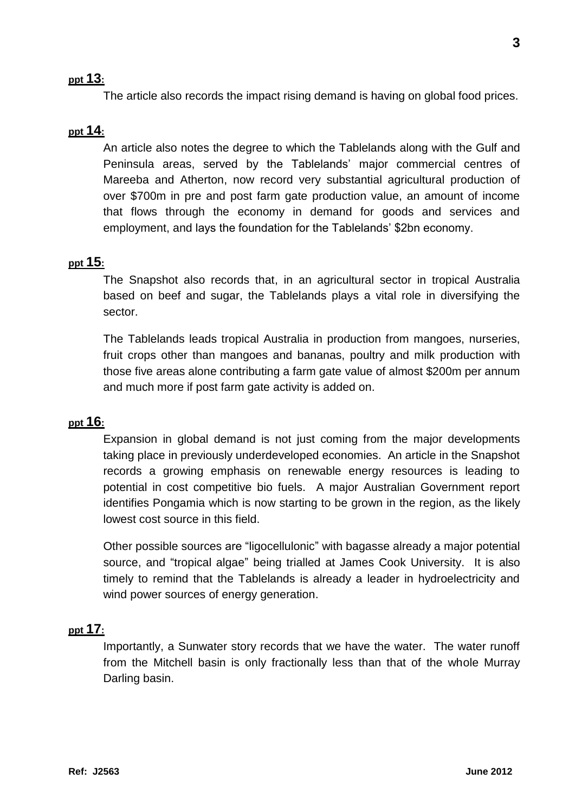## **ppt 13:**

The article also records the impact rising demand is having on global food prices.

# **ppt 14:**

An article also notes the degree to which the Tablelands along with the Gulf and Peninsula areas, served by the Tablelands' major commercial centres of Mareeba and Atherton, now record very substantial agricultural production of over \$700m in pre and post farm gate production value, an amount of income that flows through the economy in demand for goods and services and employment, and lays the foundation for the Tablelands' \$2bn economy.

#### **ppt 15:**

The Snapshot also records that, in an agricultural sector in tropical Australia based on beef and sugar, the Tablelands plays a vital role in diversifying the sector.

The Tablelands leads tropical Australia in production from mangoes, nurseries, fruit crops other than mangoes and bananas, poultry and milk production with those five areas alone contributing a farm gate value of almost \$200m per annum and much more if post farm gate activity is added on.

# **ppt 16:**

Expansion in global demand is not just coming from the major developments taking place in previously underdeveloped economies. An article in the Snapshot records a growing emphasis on renewable energy resources is leading to potential in cost competitive bio fuels. A major Australian Government report identifies Pongamia which is now starting to be grown in the region, as the likely lowest cost source in this field.

Other possible sources are "ligocellulonic" with bagasse already a major potential source, and "tropical algae" being trialled at James Cook University. It is also timely to remind that the Tablelands is already a leader in hydroelectricity and wind power sources of energy generation.

#### **ppt 17:**

Importantly, a Sunwater story records that we have the water. The water runoff from the Mitchell basin is only fractionally less than that of the whole Murray Darling basin.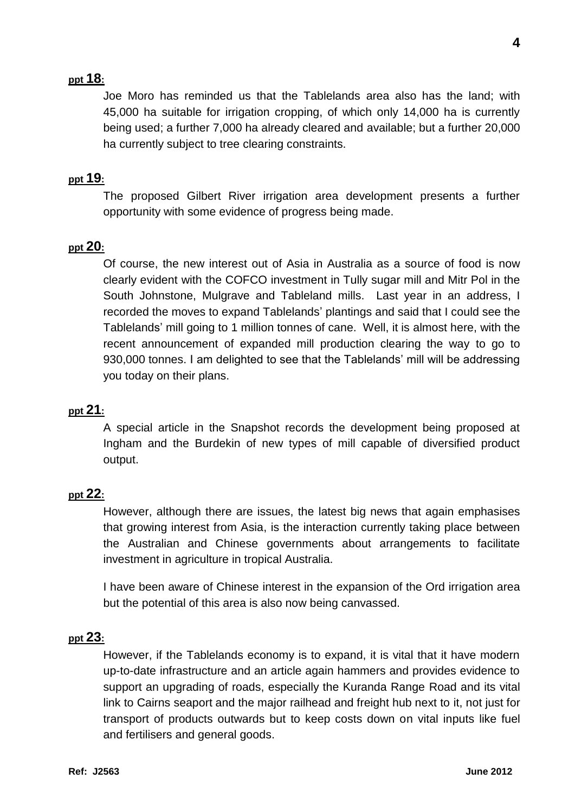# **ppt 18:**

Joe Moro has reminded us that the Tablelands area also has the land; with 45,000 ha suitable for irrigation cropping, of which only 14,000 ha is currently being used; a further 7,000 ha already cleared and available; but a further 20,000 ha currently subject to tree clearing constraints.

# **ppt 19:**

The proposed Gilbert River irrigation area development presents a further opportunity with some evidence of progress being made.

#### **ppt 20:**

Of course, the new interest out of Asia in Australia as a source of food is now clearly evident with the COFCO investment in Tully sugar mill and Mitr Pol in the South Johnstone, Mulgrave and Tableland mills. Last year in an address, I recorded the moves to expand Tablelands' plantings and said that I could see the Tablelands' mill going to 1 million tonnes of cane. Well, it is almost here, with the recent announcement of expanded mill production clearing the way to go to 930,000 tonnes. I am delighted to see that the Tablelands' mill will be addressing you today on their plans.

## **ppt 21:**

A special article in the Snapshot records the development being proposed at Ingham and the Burdekin of new types of mill capable of diversified product output.

#### **ppt 22:**

However, although there are issues, the latest big news that again emphasises that growing interest from Asia, is the interaction currently taking place between the Australian and Chinese governments about arrangements to facilitate investment in agriculture in tropical Australia.

I have been aware of Chinese interest in the expansion of the Ord irrigation area but the potential of this area is also now being canvassed.

#### **ppt 23:**

However, if the Tablelands economy is to expand, it is vital that it have modern up-to-date infrastructure and an article again hammers and provides evidence to support an upgrading of roads, especially the Kuranda Range Road and its vital link to Cairns seaport and the major railhead and freight hub next to it, not just for transport of products outwards but to keep costs down on vital inputs like fuel and fertilisers and general goods.